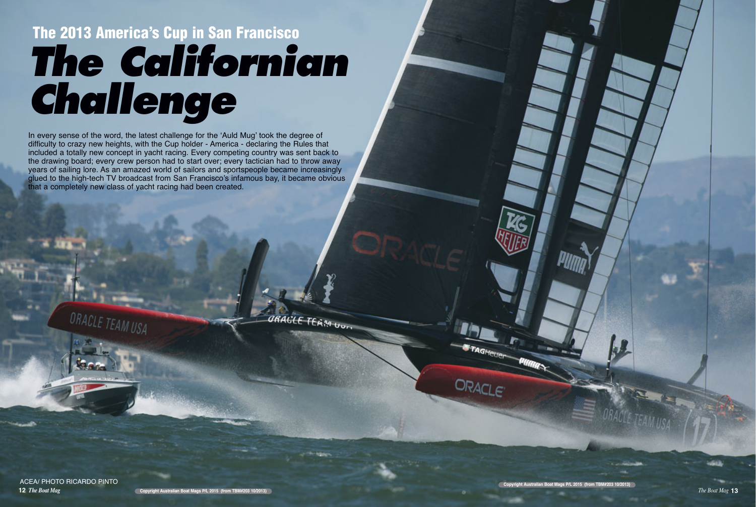# **The 2013 America's Cup in San Francisco The Californian Challenge**

**12** *The Boat Mag The Boat Mag* **13 Copyright Australian Boat Mags P/L 2015 (from TBM#203 10/2013)** 

In every sense of the word, the latest challenge for the 'Auld Mug' took the degree of difficulty to crazy new heights, with the Cup holder - America - declaring the Rules that included a totally new concept in yacht racing. Every competing country was sent back to the drawing board; every crew person had to start over; every tactician had to throw away years of sailing lore. As an amazed world of sailors and sportspeople became increasingly glued to the high-tech TV broadcast from San Francisco's infamous bay, it became obvious that a completely new class of yacht racing had been created.

ORACLE TEAM UUT

ACEA/ PHOTO RICARDO PINTO

LE TEAM USA

ORACLE<sup>®</sup>

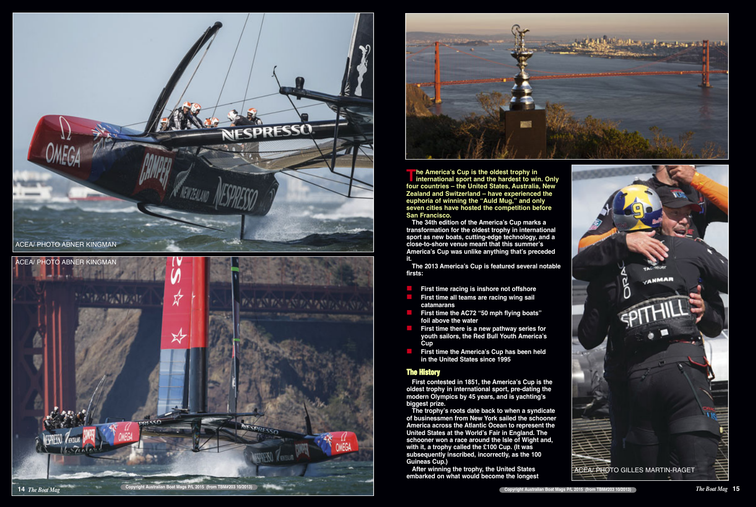

- 
- 
- 
- 
- 

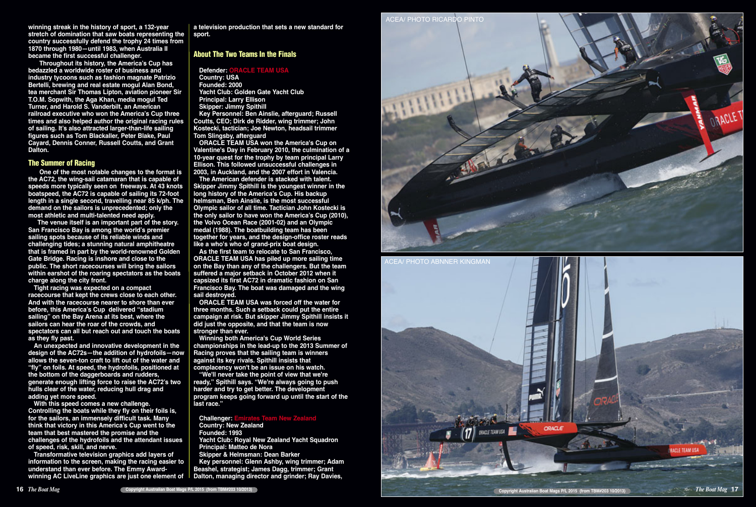**winning streak in the history of sport, a 132-year stretch of domination that saw boats representing the country successfully defend the trophy 24 times from 1870 through 1980—until 1983, when Australia II became the first successful challenger.** 

**Throughout its history, the America's Cup has bedazzled a worldwide roster of business and industry tycoons such as fashion magnate Patrizio Bertelli, brewing and real estate mogul Alan Bond, tea merchant Sir Thomas Lipton, aviation pioneer Sir T.O.M. Sopwith, the Aga Khan, media mogul Ted Turner, and Harold S. Vanderbilt, an American railroad executive who won the America's Cup three times and also helped author the original racing rules of sailing. It's also attracted larger-than-life sailing figures such as Tom Blackaller, Peter Blake, Paul Cayard, Dennis Conner, Russell Coutts, and Grant Dalton.** 

#### **The Summer of Racing**

**One of the most notable changes to the format is the AC72, the wing-sail catamaran that is capable of speeds more typically seen on freeways. At 43 knots boatspeed, the AC72 is capable of sailing its 72-foot length in a single second, travelling near 85 k/ph. The demand on the sailors is unprecedented; only the most athletic and multi-talented need apply.** 

**The venue itself is an important part of the story. San Francisco Bay is among the world's premier sailing spots because of its reliable winds and challenging tides; a stunning natural amphitheatre that is framed in part by the world-renowned Golden Gate Bridge. Racing is inshore and close to the public. The short racecourses will bring the sailors within earshot of the roaring spectators as the boats charge along the city front.** 

**Tight racing was expected on a compact racecourse that kept the crews close to each other. And with the racecourse nearer to shore than ever before, this America's Cup delivered "stadium sailing" on the Bay Arena at its best, where the sailors can hear the roar of the crowds, and spectators can all but reach out and touch the boats as they fly past.** 

**An unexpected and innovative development in the design of the AC72s—the addition of hydrofoils—now allows the seven-ton craft to lift out of the water and "fly" on foils. At speed, the hydrofoils, positioned at the bottom of the daggerboards and rudders, generate enough lifting force to raise the AC72's two hulls clear of the water, reducing hull drag and adding yet more speed.** 

#### **Challenger: E Country: New Zealand**

**With this speed comes a new challenge. Controlling the boats while they fly on their foils is, for the sailors, an immensely difficult task. Many think that victory in this America's Cup went to the team that best mastered the promise and the challenges of the hydrofoils and the attendant issues of speed, risk, skill, and nerve.** 

**Transformative television graphics add layers of information to the screen, making the racing easier to understand than ever before. The Emmy Awardwinning AC LiveLine graphics are just one element of**

**a television production that sets a new standard for sport.** 

### **About The Two Teams In the Finals**

### **Defender: ORACLE TEAM USA**

**Country: USA Founded: 2000 Yacht Club: Golden Gate Yacht Club Principal: Larry Ellison Skipper: Jimmy Spithill Key Personnel: Ben Ainslie, afterguard; Russell Coutts, CEO; Dirk de Ridder, wing trimmer; John Kostecki, tactician; Joe Newton, headsail trimmer Tom Slingsby, afterguard** 

**ORACLE TEAM USA won the America's Cup on Valentine's Day in February 2010, the culmination of a 10-year quest for the trophy by team principal Larry Ellison. This followed unsuccessful challenges in 2003, in Auckland, and the 2007 effort in Valencia.** 

**The American defender is stacked with talent. Skipper Jimmy Spithill is the youngest winner in the long history of the America's Cup. His backup helmsman, Ben Ainslie, is the most successful Olympic sailor of all time. Tactician John Kostecki is the only sailor to have won the America's Cup (2010), the Volvo Ocean Race (2001-02) and an Olympic medal (1988). The boatbuilding team has been together for years, and the design-office roster reads like a who's who of grand-prix boat design.** 

**As the first team to relocate to San Francisco, ORACLE TEAM USA has piled up more sailing time on the Bay than any of the challengers. But the team suffered a major setback in October 2012 when it capsized its first AC72 in dramatic fashion on San Francisco Bay. The boat was damaged and the wing sail destroyed.** 

**ORACLE TEAM USA was forced off the water for three months. Such a setback could put the entire campaign at risk. But skipper Jimmy Spithill insists it did just the opposite, and that the team is now stronger than ever.** 

**Winning both America's Cup World Series championships in the lead-up to the 2013 Summer of Racing proves that the sailing team is winners against its key rivals. Spithill insists that complacency won't be an issue on his watch.** 

**"We'll never take the point of view that we're ready," Spithill says. "We're always going to push harder and try to get better. The development program keeps going forward up until the start of the last race."** 

**Founded: 1993** 

**Yacht Club: Royal New Zealand Yacht Squadron Principal: Matteo de Nora** 

**Skipper & Helmsman: Dean Barker** 

**Key personnel: Glenn Ashby, wing trimmer; Adam Beashel, strategist; James Dagg, trimmer; Grant Dalton, managing director and grinder; Ray Davies,**



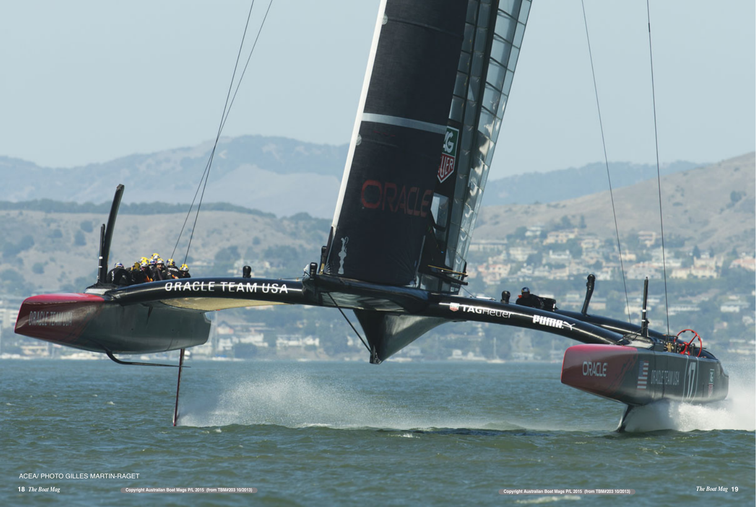## **ORACLE TEAM USA**

ACEA/ PHOTO GILLES MARTIN-RAGET

**PURHA** 

TAGHEUER



ORACLE